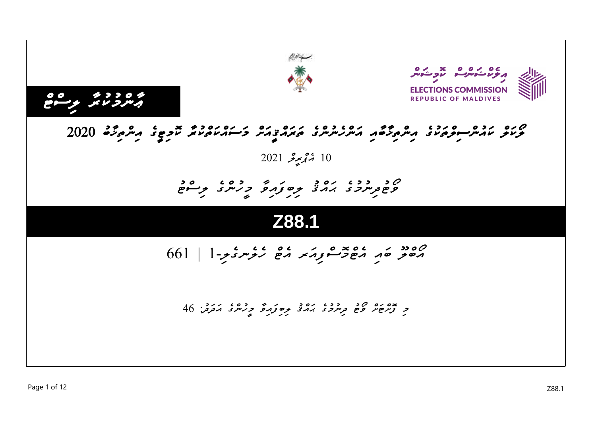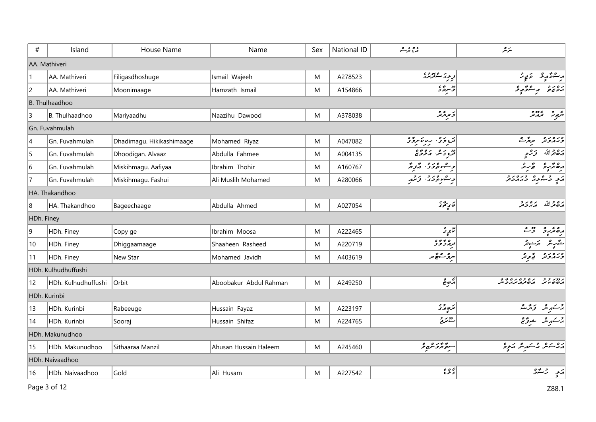| #              | Island              | House Name                | Name                   | Sex       | National ID | ، ه ، ره<br>پر ۽ برگ                     | يترمثر                                                                                                                                                                                                                           |
|----------------|---------------------|---------------------------|------------------------|-----------|-------------|------------------------------------------|----------------------------------------------------------------------------------------------------------------------------------------------------------------------------------------------------------------------------------|
|                | AA. Mathiveri       |                           |                        |           |             |                                          |                                                                                                                                                                                                                                  |
|                | AA. Mathiveri       | Filigasdhoshuge           | Ismail Wajeeh          | ${\sf M}$ | A278523     | اړ پرې ه پوه دي<br>په کېږي سورېږي        | وحدوه وتور                                                                                                                                                                                                                       |
| $\overline{2}$ | AA. Mathiveri       | Moonimaage                | Hamzath Ismail         | ${\sf M}$ | A154866     | ادو په په<br>د سرچرۍ                     |                                                                                                                                                                                                                                  |
|                | B. Thulhaadhoo      |                           |                        |           |             |                                          |                                                                                                                                                                                                                                  |
| 3              | B. Thulhaadhoo      | Mariyaadhu                | Naazihu Dawood         | ${\sf M}$ | A378038     | ىز بىر بىر قىر                           | نگرې ترورو<br>سرې                                                                                                                                                                                                                |
|                | Gn. Fuvahmulah      |                           |                        |           |             |                                          |                                                                                                                                                                                                                                  |
| $\overline{4}$ | Gn. Fuvahmulah      | Dhadimagu. Hikikashimaage | Mohamed Riyaz          | M         | A047082     | قروخو <sup>د</sup> سرما مردوع            | ورەرو بروگ                                                                                                                                                                                                                       |
| $\overline{5}$ | Gn. Fuvahmulah      | Dhoodigan. Alvaaz         | Abdulla Fahmee         | M         | A004135     | دو بره بره ده.<br>درونس پروژنج           | مَدَّةَ اللَّهُ وَرَحِ                                                                                                                                                                                                           |
| 6              | Gn. Fuvahmulah      | Miskihmagu. Aafiyaa       | Ibrahim Thohir         | M         | A160767     | وسىرە دىن ھۇر                            |                                                                                                                                                                                                                                  |
|                | Gn. Fuvahmulah      | Miskihmagu. Fashui        | Ali Muslih Mohamed     | M         | A280066     | د عمود د د د تر د د                      | وكمو وجوه ورودة                                                                                                                                                                                                                  |
|                | HA. Thakandhoo      |                           |                        |           |             |                                          |                                                                                                                                                                                                                                  |
| 8              | HA. Thakandhoo      | Bageechaage               | Abdulla Ahmed          | M         | A027054     | <br> خوړنمۍ                              | مَدْهُ مَدْ اللّهِ مَدْ مِرْ مِرْ                                                                                                                                                                                                |
| HDh. Finey     |                     |                           |                        |           |             |                                          |                                                                                                                                                                                                                                  |
| 9              | HDh. Finey          | Copy ge                   | Ibrahim Moosa          | M         | A222465     | لتعجمونه                                 |                                                                                                                                                                                                                                  |
| 10             | HDh. Finey          | Dhiggaamaage              | Shaaheen Rasheed       | ${\sf M}$ | A220719     | و د د د د                                |                                                                                                                                                                                                                                  |
| 11             | HDh. Finey          | New Star                  | Mohamed Javidh         | ${\sf M}$ | A403619     | سرە ئەھمىر                               |                                                                                                                                                                                                                                  |
|                | HDh. Kulhudhuffushi |                           |                        |           |             |                                          |                                                                                                                                                                                                                                  |
| 12             | HDh. Kulhudhuffushi | Orbit                     | Aboobakur Abdul Rahman | ${\sf M}$ | A249250     | أرجع                                     | גמג כ כ גם כם גם גם.<br>גם סיו גם המה הגיבית                                                                                                                                                                                     |
|                | HDh. Kurinbi        |                           |                        |           |             |                                          |                                                                                                                                                                                                                                  |
| 13             | HDh. Kurinbi        | Rabeeuge                  | Hussain Fayaz          | ${\sf M}$ | A223197     | ترەمدى                                   | چرىكىم ئەرگەر كەرگەن كەنتىدىكى بىرىدىكى ئەرگەن كەنتى كەنتى ئەنتى كەنتى كەنتى كەنتى كەنتى كەنتى كەنتى كەنتى كەن<br>ئەسكەر كەنتى كەنتى كەنتى كەنتى كەنتى كەنتى كەنتى كەنتى كەنتى كەنتى كەنتى كەنتى كەنتى كەنتى كەنتى كەنتى كەنتى ك |
| 14             | HDh. Kurinbi        | Sooraj                    | Hussain Shifaz         | M         | A224765     | دو پر و<br>سنونیزی                       |                                                                                                                                                                                                                                  |
|                | HDh. Makunudhoo     |                           |                        |           |             |                                          |                                                                                                                                                                                                                                  |
| 15             | HDh. Makunudhoo     | Sithaaraa Manzil          | Ahusan Hussain Haleem  | M         | A245460     | – <sub>وتم</sub> ترىر ش <sub>كى</sub> رى | ړه کره د کره لروه                                                                                                                                                                                                                |
|                | HDh. Naivaadhoo     |                           |                        |           |             |                                          |                                                                                                                                                                                                                                  |
| 16             | HDh. Naivaadhoo     | Gold                      | Ali Husam              | M         | A227542     | ې و ه<br>د عر                            | أەي رقبي                                                                                                                                                                                                                         |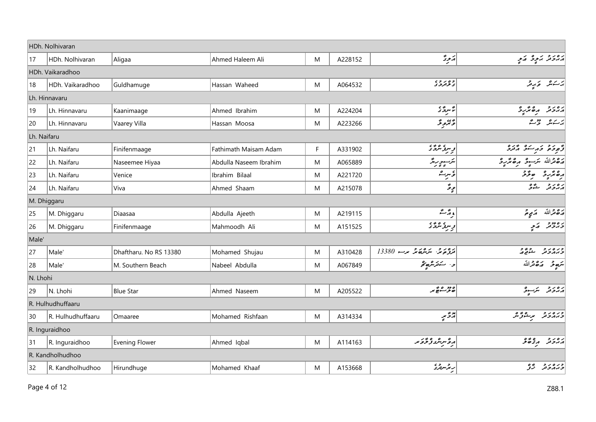|          | HDh. Nolhivaran   |                        |                        |           |         |                                   |                                                    |
|----------|-------------------|------------------------|------------------------|-----------|---------|-----------------------------------|----------------------------------------------------|
| 17       | HDh. Nolhivaran   | Aligaa                 | Ahmed Haleem Ali       | M         | A228152 | پرویژ                             | ג' ביב ג' בָבּ בֹבּ                                |
|          | HDh. Vaikaradhoo  |                        |                        |           |         |                                   |                                                    |
| 18       | HDh. Vaikaradhoo  | Guldhamuge             | Hassan Waheed          | ${\sf M}$ | A064532 | و ه د و ،<br>د نوترو د            | يز کشش او کر پیش                                   |
|          | Lh. Hinnavaru     |                        |                        |           |         |                                   |                                                    |
| 19       | Lh. Hinnavaru     | Kaanimaage             | Ahmed Ibrahim          | M         | A224204 | لڈ میرچ کی                        |                                                    |
| 20       | Lh. Hinnavaru     | Vaarey Villa           | Hassan Moosa           | M         | A223266 | ە بىر<br>ج <sub>ە تىرم</sub> و قر | رُسَاسٌ وَسَدُّ                                    |
|          | Lh. Naifaru       |                        |                        |           |         |                                   |                                                    |
| 21       | Lh. Naifaru       | Finifenmaage           | Fathimath Maisam Adam  | F         | A331902 | ار سوء عدد ؟<br>-                 | توجوحو ورسكو المعرو                                |
| 22       | Lh. Naifaru       | Naseemee Hiyaa         | Abdulla Naseem Ibrahim | M         | A065889 | مەسىرىرىدىگر<br>مەسىم ئىسىمىس     | رَة قرالله ترَبُّ و مِنْ قُرْرِدْ                  |
| 23       | Lh. Naifaru       | Venice                 | Ibrahim Bilaal         | M         | A221720 | ۇسرىئە                            | ە ئەرە ئەدىرى<br>1. ئەندىرى ئەدىرى<br>1. ئەرە ئەرە |
| 24       | Lh. Naifaru       | Viva                   | Ahmed Shaam            | M         | A215078 | حوثح                              |                                                    |
|          | M. Dhiggaru       |                        |                        |           |         |                                   |                                                    |
| 25       | M. Dhiggaru       | Diaasaa                | Abdulla Ajeeth         | M         | A219115 | بورممثه                           | برة والله برومج                                    |
| 26       | M. Dhiggaru       | Finifenmaage           | Mahmoodh Ali           | M         | A151525 | ار سرو عروج<br>سرو شرقه د         |                                                    |
| Male'    |                   |                        |                        |           |         |                                   |                                                    |
| 27       | Male'             | Dhaftharu. No RS 13380 | Mohamed Shujau         | ${\sf M}$ | A310428 | رەر ج. ئرەك تېرىسە 13380          | وره رو د ودو<br><i>وب</i> رمرو شوقے پر             |
| 28       | Male'             | M. Southern Beach      | Nabeel Abdulla         | M         | A067849 | و. سەترسى ئە                      | سَمِّعَ مَصْعَرَ اللَّهُ                           |
| N. Lhohi |                   |                        |                        |           |         |                                   |                                                    |
| 29       | N. Lhohi          | <b>Blue Star</b>       | Ahmed Naseem           | ${\sf M}$ | A205522 | ە دەھەير                          | ג פי ב בנייקב                                      |
|          | R. Hulhudhuffaaru |                        |                        |           |         |                                   |                                                    |
| 30       | R. Hulhudhuffaaru | Omaaree                | Mohamed Rishfaan       | M         | A314334 | أرجع مبي                          | ورەر د<br><i>دېرم</i> وتر برخوتر ش                 |
|          | R. Inguraidhoo    |                        |                        |           |         |                                   |                                                    |
| 31       | R. Inguraidhoo    | Evening Flower         | Ahmed Iqbal            | M         | A114163 | مەھرىرىمىدى <sub>ر</sub> ئۇغۇرىيە | גם גם בשיכ                                         |
|          | R. Kandholhudhoo  |                        |                        |           |         |                                   |                                                    |
| 32       | R. Kandholhudhoo  | Hirundhuge             | Mohamed Khaaf          | M         | A153668 | ر پژس د پ                         | ورەر دېۋ                                           |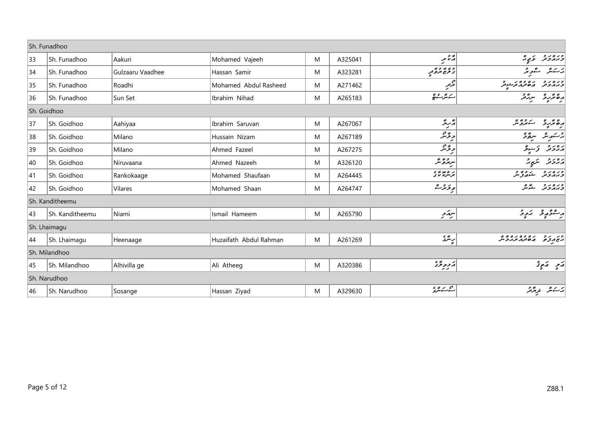|    | Sh. Funadhoo    |                  |                        |   |         |                              |                                                                                                                                                                                                                                     |
|----|-----------------|------------------|------------------------|---|---------|------------------------------|-------------------------------------------------------------------------------------------------------------------------------------------------------------------------------------------------------------------------------------|
| 33 | Sh. Funadhoo    | Aakuri           | Mohamed Vajeeh         | M | A325041 | لمجتمع                       | ورەر ئەتبە                                                                                                                                                                                                                          |
| 34 | Sh. Funadhoo    | Gulzaaru Vaadhee | Hassan Samir           | M | A323281 | و ه پر و بر<br>د نومځ مرغ تو | پرستمبر سقویتر                                                                                                                                                                                                                      |
| 35 | Sh. Funadhoo    | Roadhi           | Mohamed Abdul Rasheed  | M | A271462 | جرمر                         | 1010 - مره 1020 م.<br>ح بر مرح تر مرح مرکز میگردد.                                                                                                                                                                                  |
| 36 | Sh. Funadhoo    | Sun Set          | Ibrahim Nihad          | M | A265183 | ے م <sub>ثر ک</sub> ے م      | مەھەر ئەر ئىر                                                                                                                                                                                                                       |
|    | Sh. Goidhoo     |                  |                        |   |         |                              |                                                                                                                                                                                                                                     |
| 37 | Sh. Goidhoo     | Aahiyaa          | Ibrahim Saruvan        | M | A267067 | رمبررمنز                     | رە ئەرە سىرە ئەر                                                                                                                                                                                                                    |
| 38 | Sh. Goidhoo     | Milano           | Hussain Nizam          | M | A267189 | و دڅش                        | ر مسكور مثل موقوعة التي تحريد التي تحريد التي تعليم التي تستعمل التي تعليم التي تعليم التي تعليم الت<br>التي تستعمل التي تعليم التي تعليم التي تعليم التي تعليم التي تعليم التي تعليم التي تعليم التي تعليم التي تعليم<br>التي تعلي |
| 39 | Sh. Goidhoo     | Milano           | Ahmed Fazeel           | M | A267275 | دېڅىگە                       | دەرد تىن ئە                                                                                                                                                                                                                         |
| 40 | Sh. Goidhoo     | Niruvaana        | Ahmed Nazeeh           | M | A326120 | ا پېرى <i>تى</i> گە          | أرەر ئىس ئىكى ئى                                                                                                                                                                                                                    |
| 41 | Sh. Goidhoo     | Rankokaage       | Mohamed Shaufaan       | M | A264445 | ر ۵ پر دی<br>بر سرد را د     | ورەرو شەرومۇ                                                                                                                                                                                                                        |
| 42 | Sh. Goidhoo     | <b>Vilares</b>   | Mohamed Shaan          | M | A264747 | ء ځه ټر ک                    | ورەرو شەر                                                                                                                                                                                                                           |
|    | Sh. Kanditheemu |                  |                        |   |         |                              |                                                                                                                                                                                                                                     |
| 43 | Sh. Kanditheemu | Niami            | Ismail Hameem          | M | A265790 | سرير                         | پرسمو پر پر پر پر پر پر پر                                                                                                                                                                                                          |
|    | Sh. Lhaimagu    |                  |                        |   |         |                              |                                                                                                                                                                                                                                     |
| 44 | Sh. Lhaimagu    | Heenaage         | Huzaifath Abdul Rahman | M | A261269 | پریٹرند                      | در د د ده ده ده ده و.<br>منج مرزه مان مدم مدرس                                                                                                                                                                                      |
|    | Sh. Milandhoo   |                  |                        |   |         |                              |                                                                                                                                                                                                                                     |
| 45 | Sh. Milandhoo   | Alhivilla ge     | Ali Atheeg             | M | A320386 | <br> پرېوبونونو              | أمدمو مكموتى                                                                                                                                                                                                                        |
|    | Sh. Narudhoo    |                  |                        |   |         |                              |                                                                                                                                                                                                                                     |
| 46 | Sh. Narudhoo    | Sosange          | Hassan Ziyad           | M | A329630 | <u>مى ئەيرو ،</u>            | پرستمبر فریژند                                                                                                                                                                                                                      |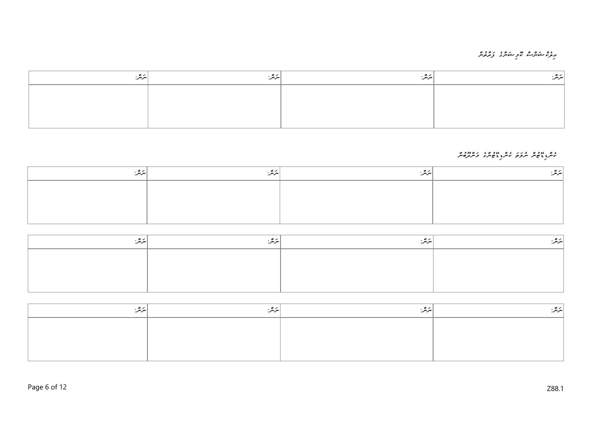## *w7qAn8m?sCw7mRo>u;wEw7mRw;sBo<*

| ' مرمر | 'يئرىثر: |
|--------|----------|
|        |          |
|        |          |
|        |          |

## *w7q9r@w7m>sCw7qHtFoFw7s;mAm=q7w7qHtFoFw7s;*

| يئرمىش: | $^{\circ}$<br>. سر سر<br>$\cdot$ | $\circ$ $\sim$<br>-- | يئرمثر |
|---------|----------------------------------|----------------------|--------|
|         |                                  |                      |        |
|         |                                  |                      |        |
|         |                                  |                      |        |

| $\frac{2}{n}$ | $^{\circ}$ | $\frac{2}{n}$ | $^{\circ}$<br>سرسر. |
|---------------|------------|---------------|---------------------|
|               |            |               |                     |
|               |            |               |                     |
|               |            |               |                     |

| ' ئىرتىر: | سر سر |  |
|-----------|-------|--|
|           |       |  |
|           |       |  |
|           |       |  |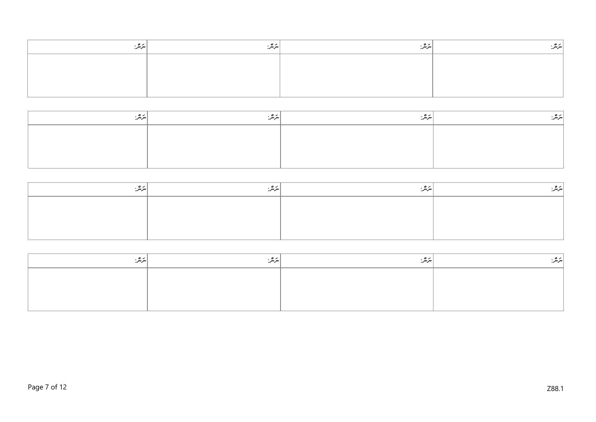| يزهر | $^{\circ}$ | ىئرىتر: |  |
|------|------------|---------|--|
|      |            |         |  |
|      |            |         |  |
|      |            |         |  |

| <sup>.</sup> سرسر. |  |
|--------------------|--|
|                    |  |
|                    |  |
|                    |  |

| ىئرىتر. | $\sim$ | ا بر هه. | لىرىش |
|---------|--------|----------|-------|
|         |        |          |       |
|         |        |          |       |
|         |        |          |       |

| 。<br>مرس. | $\overline{\phantom{a}}$<br>مر سر | يتريثر |
|-----------|-----------------------------------|--------|
|           |                                   |        |
|           |                                   |        |
|           |                                   |        |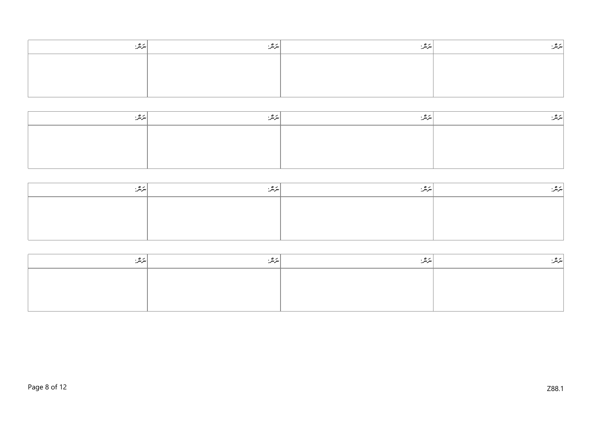| ير هو . | $\overline{\phantom{a}}$ | يرمر | اير هنه. |
|---------|--------------------------|------|----------|
|         |                          |      |          |
|         |                          |      |          |
|         |                          |      |          |

| ىر تىر: | $\circ$ $\sim$<br>" سرسر . | يبرحه | o . |
|---------|----------------------------|-------|-----|
|         |                            |       |     |
|         |                            |       |     |
|         |                            |       |     |

| كترنثر: | 。 | 。<br>سرسر. | o <i>~</i> |
|---------|---|------------|------------|
|         |   |            |            |
|         |   |            |            |
|         |   |            |            |

|  | . ه |
|--|-----|
|  |     |
|  |     |
|  |     |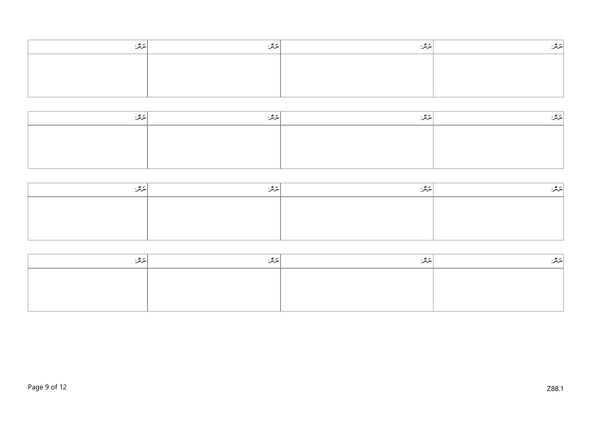| ير هو . | $\overline{\phantom{a}}$ | يرمر | اير هنه. |
|---------|--------------------------|------|----------|
|         |                          |      |          |
|         |                          |      |          |
|         |                          |      |          |

| ئىرتىر: | $\sim$<br>ا سرسر . | يئرمثر | o . |
|---------|--------------------|--------|-----|
|         |                    |        |     |
|         |                    |        |     |
|         |                    |        |     |

| كترنثر: | 。 | 。<br>سرسر. | o <i>~</i> |
|---------|---|------------|------------|
|         |   |            |            |
|         |   |            |            |
|         |   |            |            |

|  | . ه |
|--|-----|
|  |     |
|  |     |
|  |     |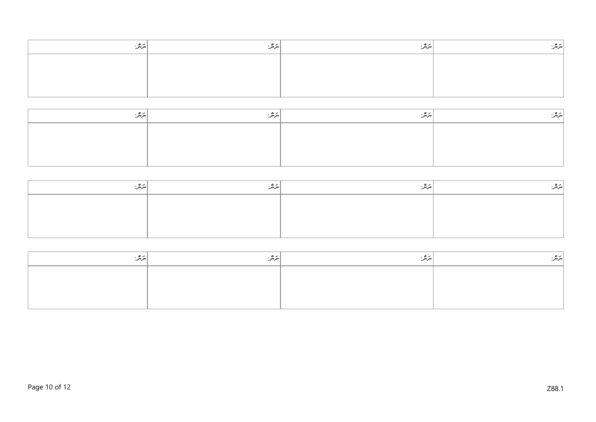| $\cdot$ | 。 | $\frac{\circ}{\cdot}$ | $\sim$<br>سرسر |
|---------|---|-----------------------|----------------|
|         |   |                       |                |
|         |   |                       |                |
|         |   |                       |                |

| ىر ھ | $^{\circ}$<br>" سرسر . | $\overset{\circ}{\cdot}$ |  |
|------|------------------------|--------------------------|--|
|      |                        |                          |  |
|      |                        |                          |  |
|      |                        |                          |  |

| بر ه | 。 | $\sim$<br>َ سومس. |  |
|------|---|-------------------|--|
|      |   |                   |  |
|      |   |                   |  |
|      |   |                   |  |

| 。<br>. س | ىرىىر |  |
|----------|-------|--|
|          |       |  |
|          |       |  |
|          |       |  |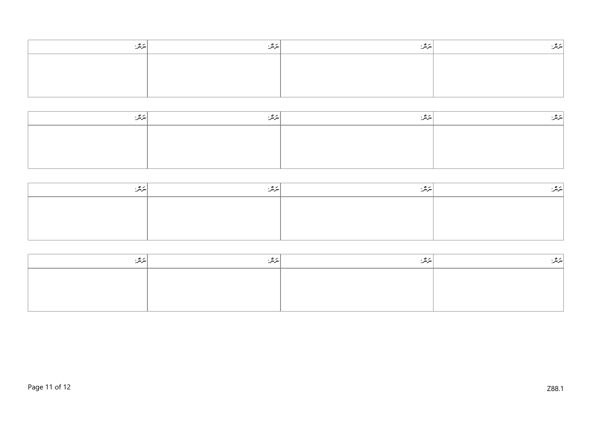| ير هو . | $\overline{\phantom{a}}$ | يرمر | اير هنه. |
|---------|--------------------------|------|----------|
|         |                          |      |          |
|         |                          |      |          |
|         |                          |      |          |

| ئىرتىر: | $\sim$<br>ا سرسر . | يئرمثر | o . |
|---------|--------------------|--------|-----|
|         |                    |        |     |
|         |                    |        |     |
|         |                    |        |     |

| الترنثر: | ' مرتكز: | الترنثر: | .,<br>سرس. |
|----------|----------|----------|------------|
|          |          |          |            |
|          |          |          |            |
|          |          |          |            |

|  | . ه |
|--|-----|
|  |     |
|  |     |
|  |     |